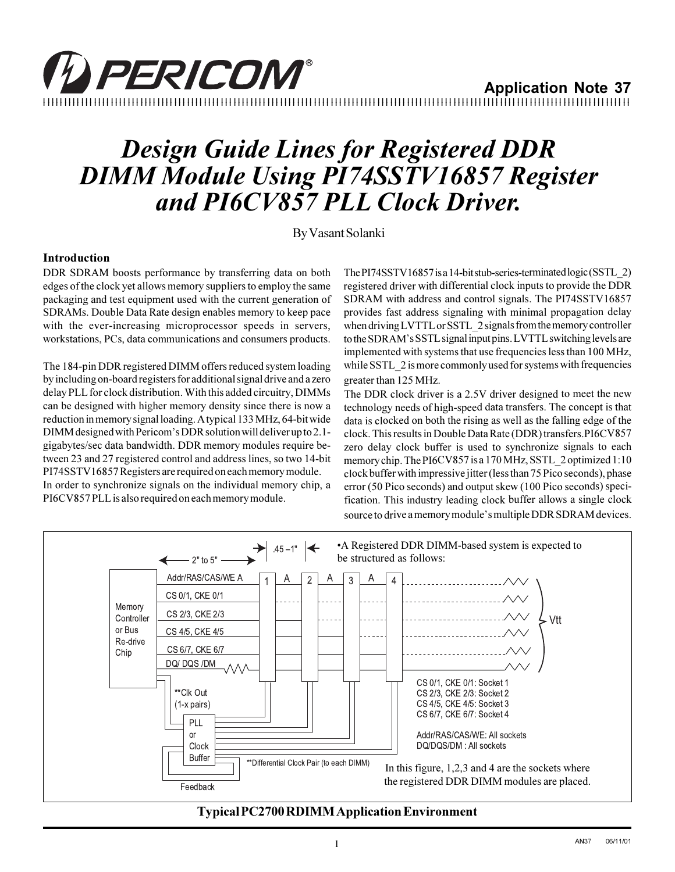

12345678901234567890123456789012123456789012345678901234567890121234567890123456789012345678901212345678901234567890123456789012123456789012 12345678901234567890123456789012123456789012345678901234567890121234567890123456789012345678901212345678901234567890123456789012123456789012

## *Design Guide Lines for Registered DDR DIMM Module Using PI74SSTV16857 Register and PI6CV857 PLL Clock Driver.*

By Vasant Solanki

#### **Introduction**

DDR SDRAM boosts performance by transferring data on both edges of the clock yet allows memory suppliers to employ the same packaging and test equipment used with the current generation of SDRAMs. Double Data Rate design enables memory to keep pace with the ever-increasing microprocessor speeds in servers, workstations, PCs, data communications and consumers products.

The 184-pin DDR registered DIMM offers reduced system loading by including on-board registers for additional signal drive and a zero delay PLL for clock distribution. With this added circuitry, DIMMs can be designed with higher memory density since there is now a reduction in memory signal loading. A typical 133 MHz, 64-bit wide DIMM designed with Pericom's DDR solution will deliver up to 2.1gigabytes/sec data bandwidth. DDR memory modules require between 23 and 27 registered control and address lines, so two 14-bit PI74SSTV16857 Registers are required on each memory module. In order to synchronize signals on the individual memory chip, a PI6CV857 PLL is also required on each memory module.

The PI74SSTV16857 is a 14-bit stub-series-terminated logic (SSTL\_2) registered driver with differential clock inputs to provide the DDR SDRAM with address and control signals. The PI74SSTV16857 provides fast address signaling with minimal propagation delay when driving LVTTL or SSTL\_2 signals from the memory controller to the SDRAM's SSTL signal input pins. LVTTL switching levels are implemented with systems that use frequencies less than 100 MHz, while SSTL 2 is more commonly used for systems with frequencies greater than 125 MHz.

The DDR clock driver is a 2.5V driver designed to meet the new technology needs of high-speed data transfers. The concept is that data is clocked on both the rising as well as the falling edge of the clock. This results in Double Data Rate (DDR) transfers.PI6CV857 zero delay clock buffer is used to synchronize signals to each memory chip. The PI6CV857 is a 170 MHz, SSTL\_2 optimized 1:10 clock buffer with impressive jitter (less than 75 Pico seconds), phase error (50 Pico seconds) and output skew (100 Pico seconds) specification. This industry leading clock buffer allows a single clock source to drive a memory module's multiple DDR SDRAM devices.



#### **Typical PC2700 RDIMM Application Environment**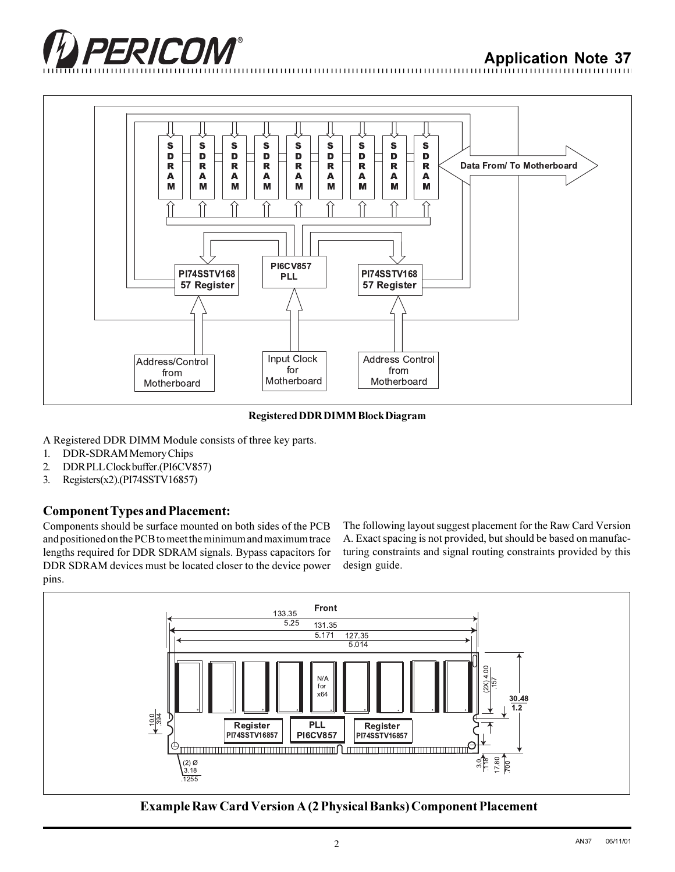

### **Application Note 37**

12345678901234567890123456789012123456789012345678901234567890121234567890123456789012345678901212345678901234567890123456789012123456789012



**Registered DDR DIMM Block Diagram**

A Registered DDR DIMM Module consists of three key parts.

- 1. DDR-SDRAM Memory Chips
- 2. DDR PLL Clock buffer.(PI6CV857)
- 3. Registers(x2).(PI74SSTV16857)

#### **Component Types and Placement:**

Components should be surface mounted on both sides of the PCB and positioned on the PCB to meet the minimum and maximum trace lengths required for DDR SDRAM signals. Bypass capacitors for DDR SDRAM devices must be located closer to the device power pins.

The following layout suggest placement for the Raw Card Version A. Exact spacing is not provided, but should be based on manufacturing constraints and signal routing constraints provided by this design guide.



**Example Raw Card Version A (2 Physical Banks) Component Placement**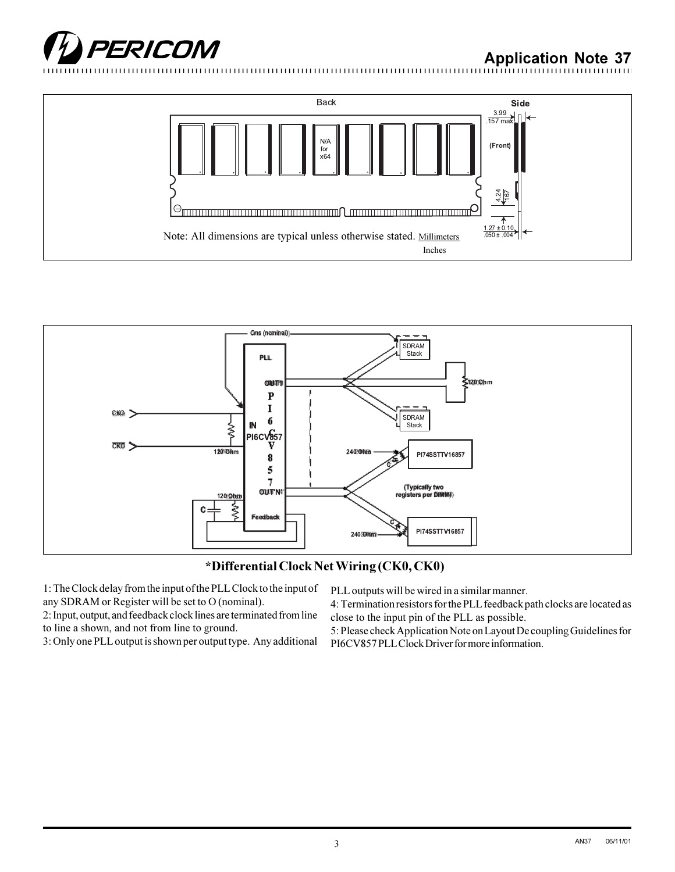





**\*Differential Clock Net Wiring (CK0, CK0)**

1: The Clock delay from the input of the PLL Clock to the input of any SDRAM or Register will be set to O (nominal).

2: Input, output, and feedback clock lines are terminated from line to line a shown, and not from line to ground.

3: Only one PLL output is shown per output type. Any additional

PLL outputs will be wired in a similar manner.

4: Termination resistors for the PLL feedback path clocks are located as close to the input pin of the PLL as possible.

5: Please check Application Note on Layout De coupling Guidelines for PI6CV857 PLL Clock Driver for more information.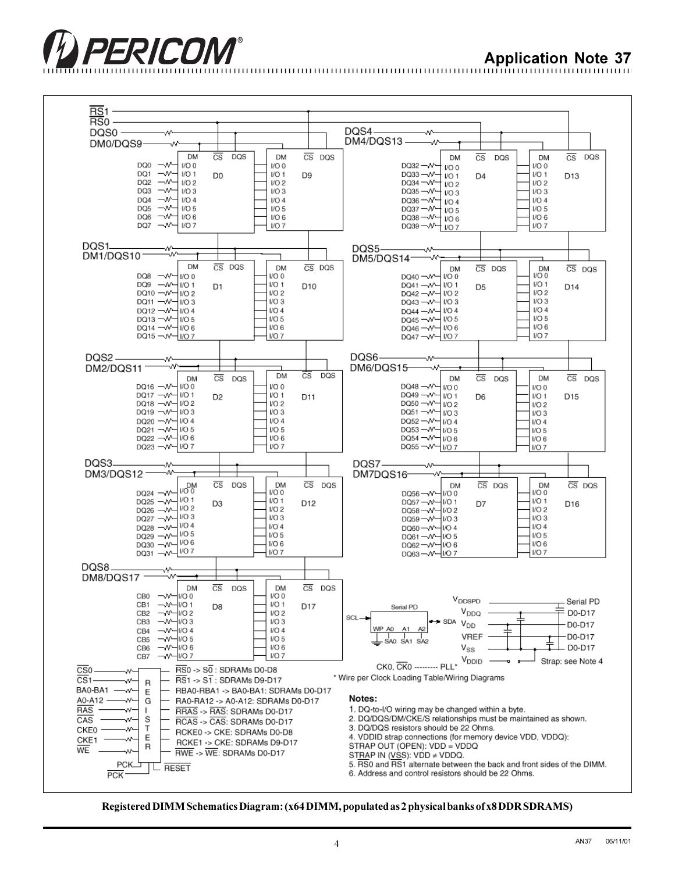



#### **Registered DIMM Schematics Diagram: (x64 DIMM, populated as 2 physical banks of x8 DDR SDRAMS)**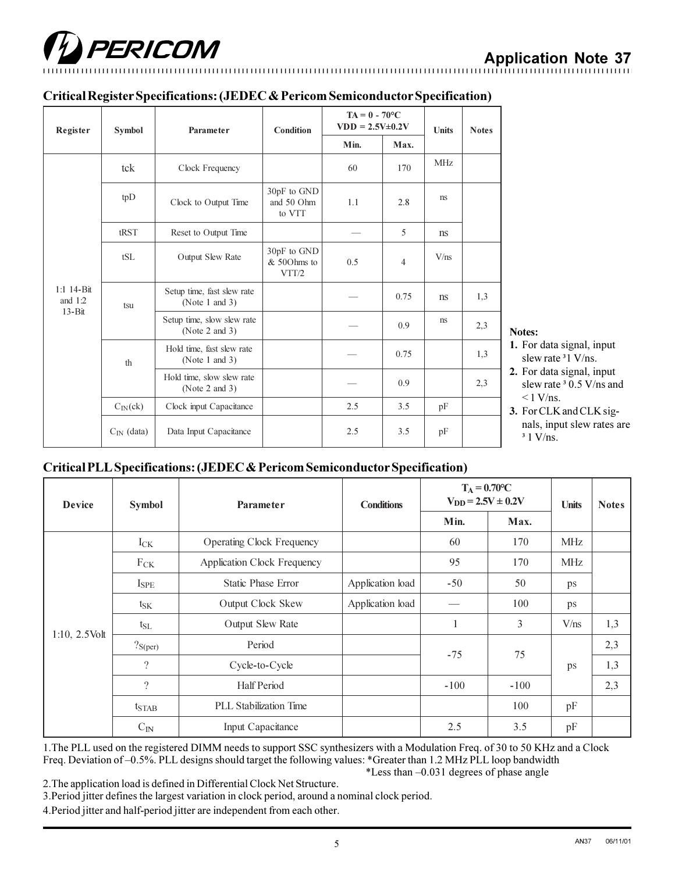

**Critical Register Specifications: (JEDEC & Pericom Semiconductor Specification)**

| Register                            | <b>Symbol</b>          | Parameter                                        | Condition                           | $TA = 0 - 70^{\circ}C$<br>$VDD = 2.5V \pm 0.2V$ |                | <b>Units</b> | <b>Notes</b> |                                                                                 |
|-------------------------------------|------------------------|--------------------------------------------------|-------------------------------------|-------------------------------------------------|----------------|--------------|--------------|---------------------------------------------------------------------------------|
|                                     |                        |                                                  |                                     | Min.                                            | Max.           |              |              |                                                                                 |
| 1:1 14-Bit<br>and $1:2$<br>$13-Bit$ | tck                    | Clock Frequency                                  |                                     | 60                                              | 170            | <b>MHz</b>   |              |                                                                                 |
|                                     | tpD                    | Clock to Output Time                             | 30pF to GND<br>and 50 Ohm<br>to VTT | 1.1                                             | 2.8            | ns           |              |                                                                                 |
|                                     | tRST                   | Reset to Output Time                             |                                     |                                                 | 5              | ns           |              |                                                                                 |
|                                     | tSL                    | Output Slew Rate                                 | 30pF to GND<br>& 500hms to<br>VTT/2 | 0.5                                             | $\overline{4}$ | V/ns         |              |                                                                                 |
|                                     | tsu                    | Setup time, fast slew rate<br>(Note 1 and 3)     |                                     |                                                 | 0.75           | ns           | 1,3          |                                                                                 |
|                                     |                        | Setup time, slow slew rate<br>(Note 2 and 3)     |                                     |                                                 | 0.9            | ns           | 2,3          | Notes:                                                                          |
|                                     | th                     | Hold time, fast slew rate<br>(Note 1 and 3)      |                                     |                                                 | 0.75           |              | 1,3          | 1. For data signal, input<br>slew rate <sup>3</sup> 1 V/ns.                     |
|                                     |                        | Hold time, slow slew rate<br>(Note $2$ and $3$ ) |                                     |                                                 | 0.9            |              | 2,3          | 2. For data signal, input<br>slew rate <sup>3</sup> 0.5 V/ns and<br>$<$ 1 V/ns. |
|                                     | $C_{\text{IN}}(ck)$    | Clock input Capacitance                          |                                     | 2.5                                             | 3.5            | pF           |              | 3. For CLK and CLK sig-                                                         |
|                                     | $C_{\text{IN}}$ (data) | Data Input Capacitance                           |                                     | 2.5                                             | 3.5            | pF           |              | nals, input slew rates are<br>$3$ 1 V/ns.                                       |

#### **Critical PLL Specifications: (JEDEC & Pericom Semiconductor Specification)**

| <b>Device</b>    | <b>Symbol</b>            | Parameter                        | <b>Conditions</b> | $T_A = 0.70$ <sup>o</sup> C<br>$V_{DD} = 2.5V \pm 0.2V$ | <b>Units</b> | <b>Notes</b> |     |
|------------------|--------------------------|----------------------------------|-------------------|---------------------------------------------------------|--------------|--------------|-----|
|                  |                          |                                  |                   | Min.                                                    | Max.         |              |     |
| $1:10, 2.5$ Volt | $I_{CK}$                 | <b>Operating Clock Frequency</b> |                   | 60                                                      | 170          | <b>MHz</b>   |     |
|                  | $F_{CK}$                 | Application Clock Frequency      |                   | 95                                                      | 170          | <b>MHz</b>   |     |
|                  | $I_{\rm SPE}$            | <b>Static Phase Error</b>        | Application load  | $-50$                                                   | 50           | ps           |     |
|                  | $t_{SK}$                 | Output Clock Skew                | Application load  |                                                         | 100          | ps           |     |
|                  | $t_{\rm SL}$             | Output Slew Rate                 |                   | 1                                                       | 3            | V/ns         | 1,3 |
|                  | $?_{S(\text{per})}$      | Period                           |                   |                                                         | 75           | ps           | 2,3 |
|                  | $\overline{\mathcal{L}}$ | Cycle-to-Cycle                   |                   | $-75$                                                   |              |              | 1,3 |
|                  | $\gamma$<br>Half Period  |                                  |                   | $-100$                                                  | $-100$       |              | 2,3 |
|                  | $t_{STAB}$               | <b>PLL</b> Stabilization Time    |                   |                                                         | 100          | pF           |     |
|                  | $C_{IN}$                 | Input Capacitance                |                   | 2.5                                                     | 3.5          | pF           |     |

1.The PLL used on the registered DIMM needs to support SSC synthesizers with a Modulation Freq. of 30 to 50 KHz and a Clock Freq. Deviation of -0.5%. PLL designs should target the following values: \*Greater than 1.2 MHz PLL loop bandwidth \*Less than  $-0.031$  degrees of phase angle

2.The application load is defined in Differential Clock Net Structure.

3.Period jitter defines the largest variation in clock period, around a nominal clock period.

4.Period jitter and half-period jitter are independent from each other.